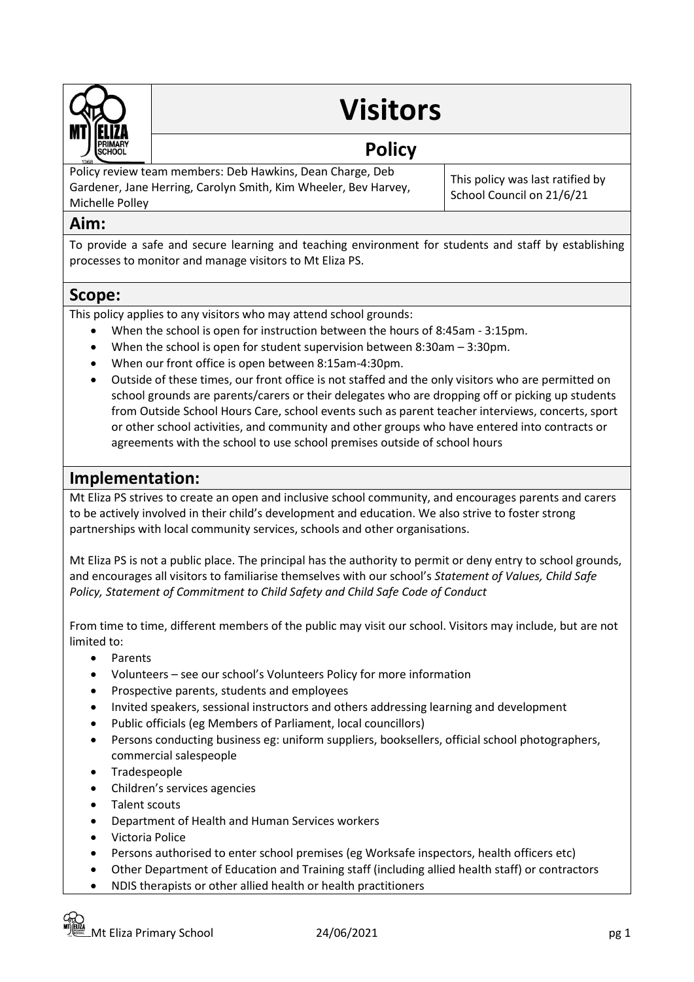

# **Visitors**

## **Policy**

Policy review team members: Deb Hawkins, Dean Charge, Deb Gardener, Jane Herring, Carolyn Smith, Kim Wheeler, Bev Harvey, Michelle Polley

This policy was last ratified by School Council on 21/6/21

## **Aim:**

To provide a safe and secure learning and teaching environment for students and staff by establishing processes to monitor and manage visitors to Mt Eliza PS.

### **Scope:**

This policy applies to any visitors who may attend school grounds:

- When the school is open for instruction between the hours of 8:45am 3:15pm.
- When the school is open for student supervision between 8:30am 3:30pm.
- When our front office is open between 8:15am-4:30pm.
- Outside of these times, our front office is not staffed and the only visitors who are permitted on school grounds are parents/carers or their delegates who are dropping off or picking up students from Outside School Hours Care, school events such as parent teacher interviews, concerts, sport or other school activities, and community and other groups who have entered into contracts or agreements with the school to use school premises outside of school hours

## **Implementation:**

Mt Eliza PS strives to create an open and inclusive school community, and encourages parents and carers to be actively involved in their child's development and education. We also strive to foster strong partnerships with local community services, schools and other organisations.

Mt Eliza PS is not a public place. The principal has the authority to permit or deny entry to school grounds, and encourages all visitors to familiarise themselves with our school's *Statement of Values, Child Safe Policy, Statement of Commitment to Child Safety and Child Safe Code of Conduct*

From time to time, different members of the public may visit our school. Visitors may include, but are not limited to:

- Parents
- Volunteers see our school's Volunteers Policy for more information
- Prospective parents, students and employees
- Invited speakers, sessional instructors and others addressing learning and development
- Public officials (eg Members of Parliament, local councillors)
- Persons conducting business eg: uniform suppliers, booksellers, official school photographers, commercial salespeople
- Tradespeople
- Children's services agencies
- Talent scouts
- Department of Health and Human Services workers
- Victoria Police
- Persons authorised to enter school premises (eg Worksafe inspectors, health officers etc)
- Other Department of Education and Training staff (including allied health staff) or contractors
- NDIS therapists or other allied health or health practitioners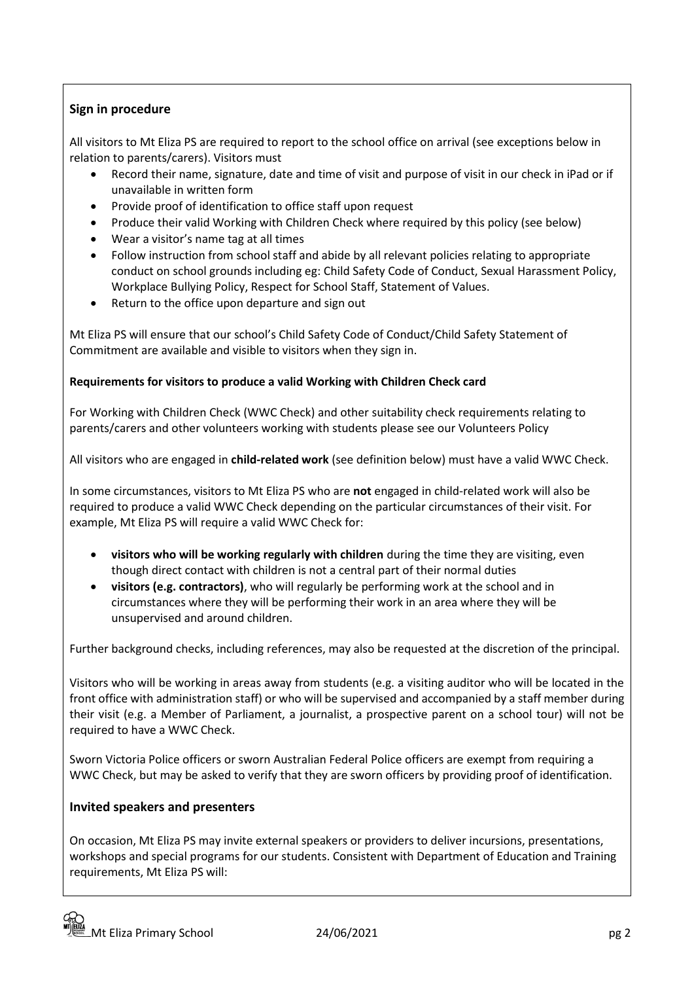#### **Sign in procedure**

All visitors to Mt Eliza PS are required to report to the school office on arrival (see exceptions below in relation to parents/carers). Visitors must

- Record their name, signature, date and time of visit and purpose of visit in our check in iPad or if unavailable in written form
- Provide proof of identification to office staff upon request
- Produce their valid Working with Children Check where required by this policy (see below)
- Wear a visitor's name tag at all times
- Follow instruction from school staff and abide by all relevant policies relating to appropriate conduct on school grounds including eg: Child Safety Code of Conduct, Sexual Harassment Policy, Workplace Bullying Policy, Respect for School Staff, Statement of Values.
- Return to the office upon departure and sign out

Mt Eliza PS will ensure that our school's Child Safety Code of Conduct/Child Safety Statement of Commitment are available and visible to visitors when they sign in.

#### **Requirements for visitors to produce a valid Working with Children Check card**

For Working with Children Check (WWC Check) and other suitability check requirements relating to parents/carers and other volunteers working with students please see our Volunteers Policy

All visitors who are engaged in **child-related work** (see definition below) must have a valid WWC Check.

In some circumstances, visitors to Mt Eliza PS who are **not** engaged in child-related work will also be required to produce a valid WWC Check depending on the particular circumstances of their visit. For example, Mt Eliza PS will require a valid WWC Check for:

- **visitors who will be working regularly with children** during the time they are visiting, even though direct contact with children is not a central part of their normal duties
- **visitors (e.g. contractors)**, who will regularly be performing work at the school and in circumstances where they will be performing their work in an area where they will be unsupervised and around children.

Further background checks, including references, may also be requested at the discretion of the principal.

Visitors who will be working in areas away from students (e.g. a visiting auditor who will be located in the front office with administration staff) or who will be supervised and accompanied by a staff member during their visit (e.g. a Member of Parliament, a journalist, a prospective parent on a school tour) will not be required to have a WWC Check.

Sworn Victoria Police officers or sworn Australian Federal Police officers are exempt from requiring a WWC Check, but may be asked to verify that they are sworn officers by providing proof of identification.

#### **Invited speakers and presenters**

On occasion, Mt Eliza PS may invite external speakers or providers to deliver incursions, presentations, workshops and special programs for our students. Consistent with Department of Education and Training requirements, Mt Eliza PS will: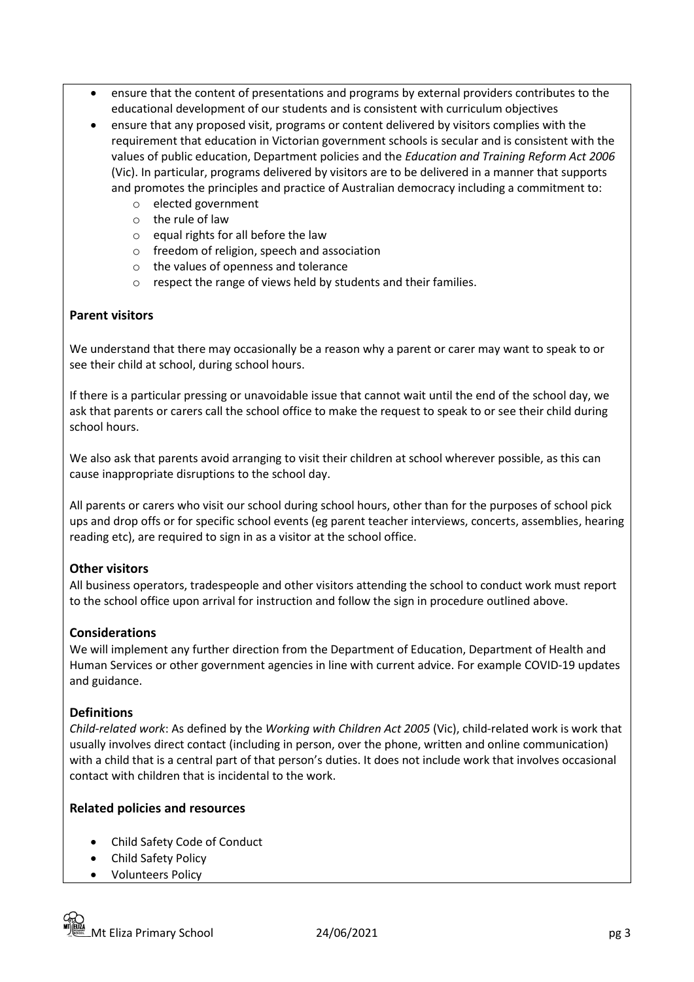- ensure that the content of presentations and programs by external providers contributes to the educational development of our students and is consistent with curriculum objectives
- ensure that any proposed visit, programs or content delivered by visitors complies with the requirement that education in Victorian government schools is secular and is consistent with the values of public education, Department policies and the *Education and Training Reform Act 2006* (Vic). In particular, programs delivered by visitors are to be delivered in a manner that supports and promotes the principles and practice of Australian democracy including a commitment to:
	- o elected government
	- o the rule of law
	- o equal rights for all before the law
	- o freedom of religion, speech and association
	- o the values of openness and tolerance
	- o respect the range of views held by students and their families.

#### **Parent visitors**

We understand that there may occasionally be a reason why a parent or carer may want to speak to or see their child at school, during school hours.

If there is a particular pressing or unavoidable issue that cannot wait until the end of the school day, we ask that parents or carers call the school office to make the request to speak to or see their child during school hours.

We also ask that parents avoid arranging to visit their children at school wherever possible, as this can cause inappropriate disruptions to the school day.

All parents or carers who visit our school during school hours, other than for the purposes of school pick ups and drop offs or for specific school events (eg parent teacher interviews, concerts, assemblies, hearing reading etc), are required to sign in as a visitor at the school office.

#### **Other visitors**

All business operators, tradespeople and other visitors attending the school to conduct work must report to the school office upon arrival for instruction and follow the sign in procedure outlined above.

#### **Considerations**

We will implement any further direction from the Department of Education, Department of Health and Human Services or other government agencies in line with current advice. For example COVID-19 updates and guidance.

#### **Definitions**

*Child-related work*: As defined by the *Working with Children Act 2005* (Vic), child-related work is work that usually involves direct contact (including in person, over the phone, written and online communication) with a child that is a central part of that person's duties. It does not include work that involves occasional contact with children that is incidental to the work.

#### **Related policies and resources**

- Child Safety Code of Conduct
- Child Safety Policy
- Volunteers Policy